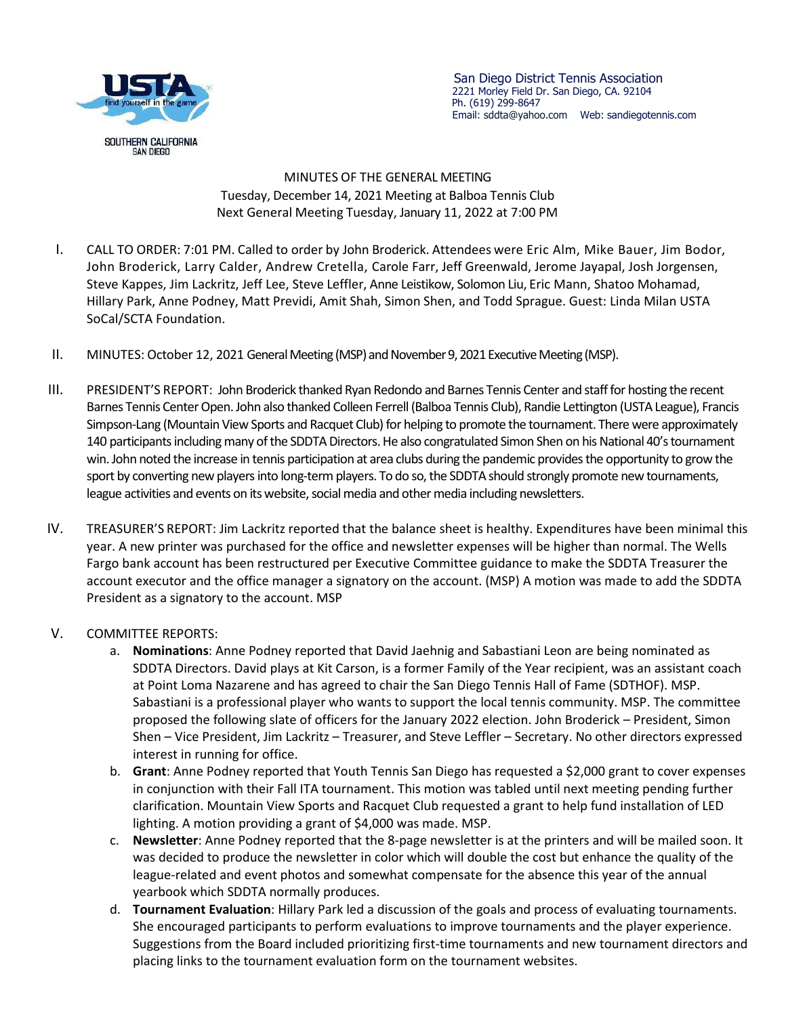

 San Diego District Tennis Association 2221 Morley Field Dr. San Diego, CA. 92104 Ph. (619) 299-8647 Email: sddta@yahoo.com Web: sandiegotennis.com

MINUTES OF THE GENERAL MEETING Tuesday, December 14, 2021 Meeting at Balboa Tennis Club Next General Meeting Tuesday, January 11, 2022 at 7:00 PM

- I. CALL TO ORDER: 7:01 PM. Called to order by John Broderick. Attendees were Eric Alm, Mike Bauer, Jim Bodor, John Broderick, Larry Calder, Andrew Cretella, Carole Farr, Jeff Greenwald, Jerome Jayapal, Josh Jorgensen, Steve Kappes, Jim Lackritz, Jeff Lee, Steve Leffler, Anne Leistikow, Solomon Liu, Eric Mann, Shatoo Mohamad, Hillary Park, Anne Podney, Matt Previdi, Amit Shah, Simon Shen, and Todd Sprague. Guest: Linda Milan USTA SoCal/SCTA Foundation.
- II. MINUTES: October 12, 2021 General Meeting (MSP) and November 9, 2021 Executive Meeting (MSP).
- III. PRESIDENT'S REPORT: John Broderick thanked Ryan Redondo and Barnes Tennis Center and staff for hosting the recent Barnes Tennis Center Open. John also thanked Colleen Ferrell (Balboa Tennis Club), Randie Lettington (USTA League), Francis Simpson-Lang (Mountain View Sports and Racquet Club) for helping to promote the tournament. There were approximately 140 participants including many of the SDDTA Directors. He also congratulated Simon Shen on his National 40's tournament win. John noted the increase in tennis participation at area clubs during the pandemic provides the opportunity to grow the sport by converting new players into long-term players. To do so, the SDDTA should strongly promote new tournaments, league activities and events on its website, social media and other media including newsletters.
- IV. TREASURER'S REPORT: Jim Lackritz reported that the balance sheet is healthy. Expenditures have been minimal this year. A new printer was purchased for the office and newsletter expenses will be higher than normal. The Wells Fargo bank account has been restructured per Executive Committee guidance to make the SDDTA Treasurer the account executor and the office manager a signatory on the account. (MSP) A motion was made to add the SDDTA President as a signatory to the account. MSP
- V. COMMITTEE REPORTS:
	- a. **Nominations**: Anne Podney reported that David Jaehnig and Sabastiani Leon are being nominated as SDDTA Directors. David plays at Kit Carson, is a former Family of the Year recipient, was an assistant coach at Point Loma Nazarene and has agreed to chair the San Diego Tennis Hall of Fame (SDTHOF). MSP. Sabastiani is a professional player who wants to support the local tennis community. MSP. The committee proposed the following slate of officers for the January 2022 election. John Broderick – President, Simon Shen – Vice President, Jim Lackritz – Treasurer, and Steve Leffler – Secretary. No other directors expressed interest in running for office.
	- b. **Grant**: Anne Podney reported that Youth Tennis San Diego has requested a \$2,000 grant to cover expenses in conjunction with their Fall ITA tournament. This motion was tabled until next meeting pending further clarification. Mountain View Sports and Racquet Club requested a grant to help fund installation of LED lighting. A motion providing a grant of \$4,000 was made. MSP.
	- c. **Newsletter**: Anne Podney reported that the 8-page newsletter is at the printers and will be mailed soon. It was decided to produce the newsletter in color which will double the cost but enhance the quality of the league-related and event photos and somewhat compensate for the absence this year of the annual yearbook which SDDTA normally produces.
	- d. **Tournament Evaluation**: Hillary Park led a discussion of the goals and process of evaluating tournaments. She encouraged participants to perform evaluations to improve tournaments and the player experience. Suggestions from the Board included prioritizing first-time tournaments and new tournament directors and placing links to the tournament evaluation form on the tournament websites.